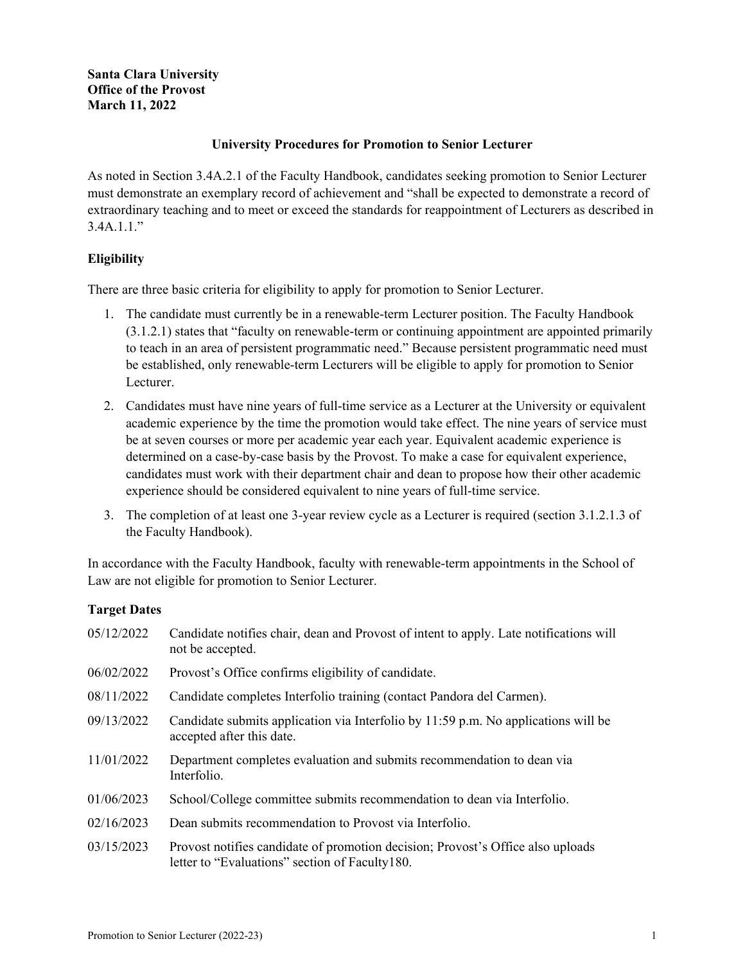# **University Procedures for Promotion to Senior Lecturer**

As noted in Section 3.4A.2.1 of the Faculty Handbook, candidates seeking promotion to Senior Lecturer must demonstrate an exemplary record of achievement and "shall be expected to demonstrate a record of extraordinary teaching and to meet or exceed the standards for reappointment of Lecturers as described in  $3.4A.1.1.$ "

# **Eligibility**

There are three basic criteria for eligibility to apply for promotion to Senior Lecturer.

- 1. The candidate must currently be in a renewable-term Lecturer position. The Faculty Handbook (3.1.2.1) states that "faculty on renewable-term or continuing appointment are appointed primarily to teach in an area of persistent programmatic need." Because persistent programmatic need must be established, only renewable-term Lecturers will be eligible to apply for promotion to Senior Lecturer.
- 2. Candidates must have nine years of full-time service as a Lecturer at the University or equivalent academic experience by the time the promotion would take effect. The nine years of service must be at seven courses or more per academic year each year. Equivalent academic experience is determined on a case-by-case basis by the Provost. To make a case for equivalent experience, candidates must work with their department chair and dean to propose how their other academic experience should be considered equivalent to nine years of full-time service.
- 3. The completion of at least one 3-year review cycle as a Lecturer is required (section 3.1.2.1.3 of the Faculty Handbook).

In accordance with the Faculty Handbook, faculty with renewable-term appointments in the School of Law are not eligible for promotion to Senior Lecturer.

## **Target Dates**

| 05/12/2022 | Candidate notifies chair, dean and Provost of intent to apply. Late notifications will<br>not be accepted.                         |  |
|------------|------------------------------------------------------------------------------------------------------------------------------------|--|
| 06/02/2022 | Provost's Office confirms eligibility of candidate.                                                                                |  |
| 08/11/2022 | Candidate completes Interfolio training (contact Pandora del Carmen).                                                              |  |
| 09/13/2022 | Candidate submits application via Interfolio by 11:59 p.m. No applications will be<br>accepted after this date.                    |  |
| 11/01/2022 | Department completes evaluation and submits recommendation to dean via<br>Interfolio.                                              |  |
| 01/06/2023 | School/College committee submits recommendation to dean via Interfolio.                                                            |  |
| 02/16/2023 | Dean submits recommendation to Provost via Interfolio.                                                                             |  |
| 03/15/2023 | Provost notifies candidate of promotion decision; Provost's Office also uploads<br>letter to "Evaluations" section of Faculty 180. |  |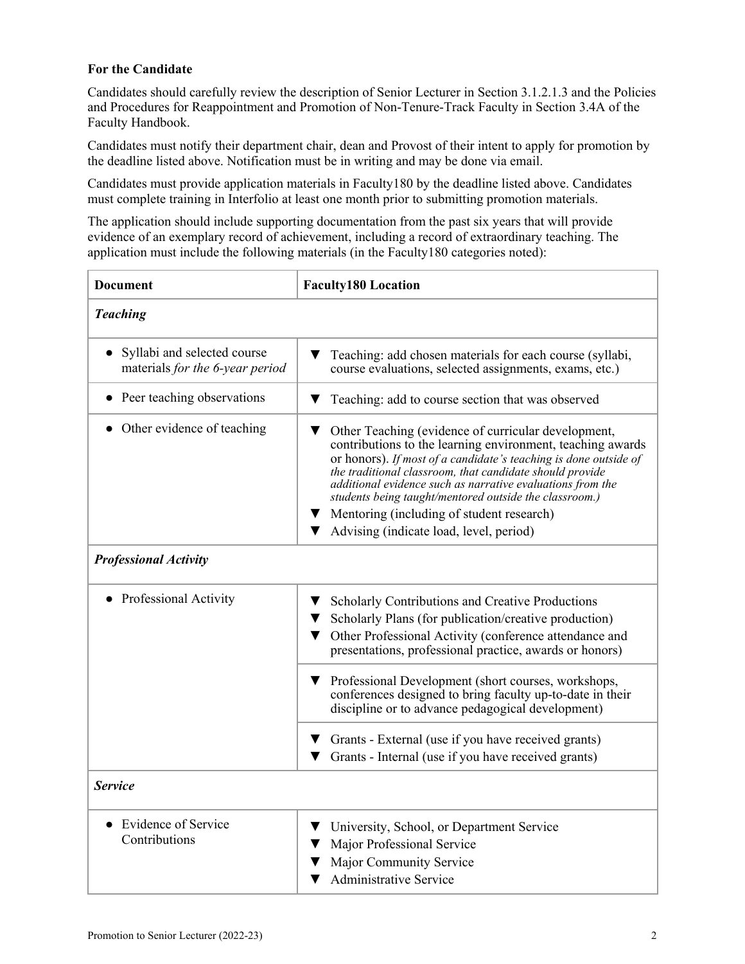# **For the Candidate**

Candidates should carefully review the description of Senior Lecturer in Section 3.1.2.1.3 and the Policies and Procedures for Reappointment and Promotion of Non-Tenure-Track Faculty in Section 3.4A of the Faculty Handbook.

Candidates must notify their department chair, dean and Provost of their intent to apply for promotion by the deadline listed above. Notification must be in writing and may be done via email.

Candidates must provide application materials in Faculty180 by the deadline listed above. Candidates must complete training in Interfolio at least one month prior to submitting promotion materials.

The application should include supporting documentation from the past six years that will provide evidence of an exemplary record of achievement, including a record of extraordinary teaching. The application must include the following materials (in the Faculty180 categories noted):

| <b>Document</b>                                                | <b>Faculty180 Location</b>                                                                                                                                                                                                                                                                                                                                                                                                                                              |  |  |
|----------------------------------------------------------------|-------------------------------------------------------------------------------------------------------------------------------------------------------------------------------------------------------------------------------------------------------------------------------------------------------------------------------------------------------------------------------------------------------------------------------------------------------------------------|--|--|
| <b>Teaching</b>                                                |                                                                                                                                                                                                                                                                                                                                                                                                                                                                         |  |  |
| Syllabi and selected course<br>materials for the 6-year period | Teaching: add chosen materials for each course (syllabi,<br>course evaluations, selected assignments, exams, etc.)                                                                                                                                                                                                                                                                                                                                                      |  |  |
| Peer teaching observations                                     | Teaching: add to course section that was observed                                                                                                                                                                                                                                                                                                                                                                                                                       |  |  |
| • Other evidence of teaching                                   | Other Teaching (evidence of curricular development,<br>contributions to the learning environment, teaching awards<br>or honors). If most of a candidate's teaching is done outside of<br>the traditional classroom, that candidate should provide<br>additional evidence such as narrative evaluations from the<br>students being taught/mentored outside the classroom.)<br>Mentoring (including of student research)<br>v.<br>Advising (indicate load, level, period) |  |  |
|                                                                |                                                                                                                                                                                                                                                                                                                                                                                                                                                                         |  |  |
| <b>Professional Activity</b>                                   |                                                                                                                                                                                                                                                                                                                                                                                                                                                                         |  |  |
| <b>Professional Activity</b>                                   | Scholarly Contributions and Creative Productions<br>Scholarly Plans (for publication/creative production)<br>Other Professional Activity (conference attendance and<br>presentations, professional practice, awards or honors)                                                                                                                                                                                                                                          |  |  |
|                                                                | Professional Development (short courses, workshops,<br><b>V</b><br>conferences designed to bring faculty up-to-date in their<br>discipline or to advance pedagogical development)                                                                                                                                                                                                                                                                                       |  |  |
|                                                                | Grants - External (use if you have received grants)<br><b>V</b><br>Grants - Internal (use if you have received grants)                                                                                                                                                                                                                                                                                                                                                  |  |  |
| <b>Service</b>                                                 |                                                                                                                                                                                                                                                                                                                                                                                                                                                                         |  |  |
| Evidence of Service<br>Contributions                           | University, School, or Department Service<br>▼<br>Major Professional Service<br>Major Community Service<br><b>Administrative Service</b>                                                                                                                                                                                                                                                                                                                                |  |  |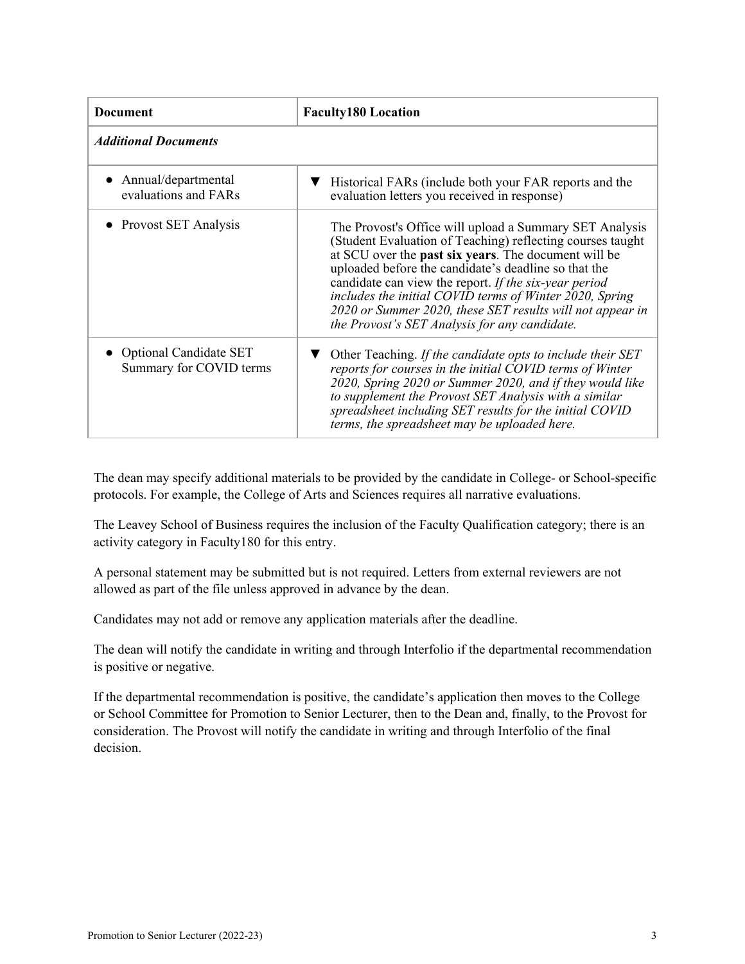| <b>Document</b>                                          | <b>Faculty180 Location</b>                                                                                                                                                                                                                                                                                                                                                                                                                                              |  |  |
|----------------------------------------------------------|-------------------------------------------------------------------------------------------------------------------------------------------------------------------------------------------------------------------------------------------------------------------------------------------------------------------------------------------------------------------------------------------------------------------------------------------------------------------------|--|--|
| <b>Additional Documents</b>                              |                                                                                                                                                                                                                                                                                                                                                                                                                                                                         |  |  |
| Annual/departmental<br>evaluations and FARs              | Historical FARs (include both your FAR reports and the<br>evaluation letters you received in response)                                                                                                                                                                                                                                                                                                                                                                  |  |  |
| • Provost SET Analysis                                   | The Provost's Office will upload a Summary SET Analysis<br>(Student Evaluation of Teaching) reflecting courses taught<br>at SCU over the past six years. The document will be<br>uploaded before the candidate's deadline so that the<br>candidate can view the report. If the six-year period<br>includes the initial COVID terms of Winter 2020, Spring<br>2020 or Summer 2020, these SET results will not appear in<br>the Provost's SET Analysis for any candidate. |  |  |
| <b>Optional Candidate SET</b><br>Summary for COVID terms | Other Teaching. If the candidate opts to include their SET<br>reports for courses in the initial COVID terms of Winter<br>2020, Spring 2020 or Summer 2020, and if they would like<br>to supplement the Provost SET Analysis with a similar<br>spreadsheet including SET results for the initial COVID<br>terms, the spreadsheet may be uploaded here.                                                                                                                  |  |  |

The dean may specify additional materials to be provided by the candidate in College- or School-specific protocols. For example, the College of Arts and Sciences requires all narrative evaluations.

The Leavey School of Business requires the inclusion of the Faculty Qualification category; there is an activity category in Faculty180 for this entry.

A personal statement may be submitted but is not required. Letters from external reviewers are not allowed as part of the file unless approved in advance by the dean.

Candidates may not add or remove any application materials after the deadline.

The dean will notify the candidate in writing and through Interfolio if the departmental recommendation is positive or negative.

If the departmental recommendation is positive, the candidate's application then moves to the College or School Committee for Promotion to Senior Lecturer, then to the Dean and, finally, to the Provost for consideration. The Provost will notify the candidate in writing and through Interfolio of the final decision.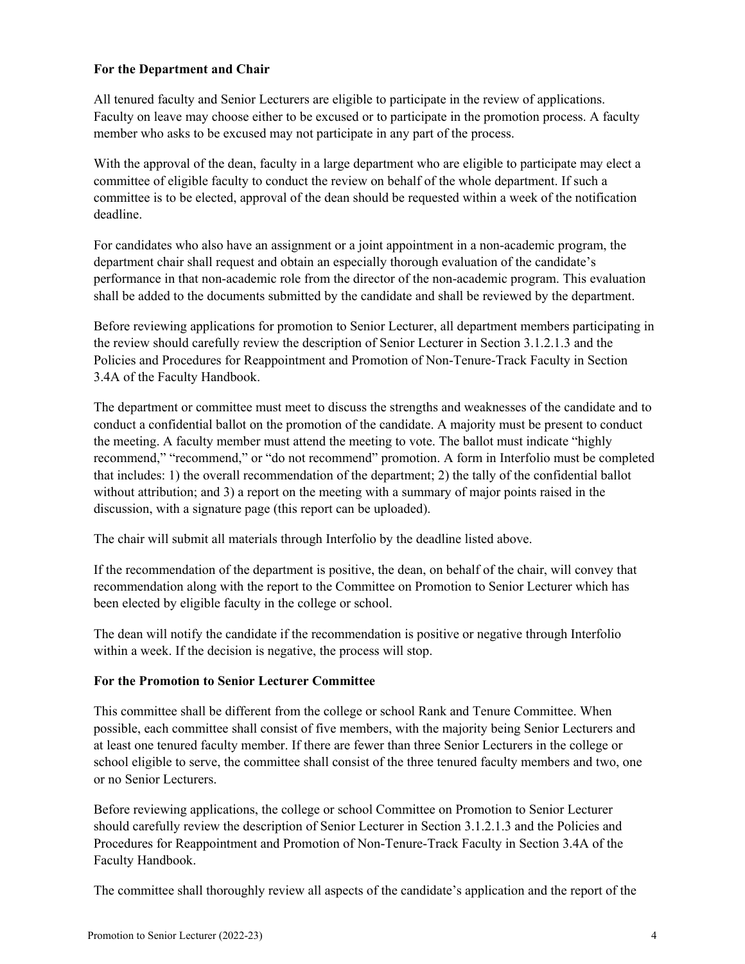## **For the Department and Chair**

All tenured faculty and Senior Lecturers are eligible to participate in the review of applications. Faculty on leave may choose either to be excused or to participate in the promotion process. A faculty member who asks to be excused may not participate in any part of the process.

With the approval of the dean, faculty in a large department who are eligible to participate may elect a committee of eligible faculty to conduct the review on behalf of the whole department. If such a committee is to be elected, approval of the dean should be requested within a week of the notification deadline.

For candidates who also have an assignment or a joint appointment in a non-academic program, the department chair shall request and obtain an especially thorough evaluation of the candidate's performance in that non-academic role from the director of the non-academic program. This evaluation shall be added to the documents submitted by the candidate and shall be reviewed by the department.

Before reviewing applications for promotion to Senior Lecturer, all department members participating in the review should carefully review the description of Senior Lecturer in Section 3.1.2.1.3 and the Policies and Procedures for Reappointment and Promotion of Non-Tenure-Track Faculty in Section 3.4A of the Faculty Handbook.

The department or committee must meet to discuss the strengths and weaknesses of the candidate and to conduct a confidential ballot on the promotion of the candidate. A majority must be present to conduct the meeting. A faculty member must attend the meeting to vote. The ballot must indicate "highly recommend," "recommend," or "do not recommend" promotion. A form in Interfolio must be completed that includes: 1) the overall recommendation of the department; 2) the tally of the confidential ballot without attribution; and 3) a report on the meeting with a summary of major points raised in the discussion, with a signature page (this report can be uploaded).

The chair will submit all materials through Interfolio by the deadline listed above.

If the recommendation of the department is positive, the dean, on behalf of the chair, will convey that recommendation along with the report to the Committee on Promotion to Senior Lecturer which has been elected by eligible faculty in the college or school.

The dean will notify the candidate if the recommendation is positive or negative through Interfolio within a week. If the decision is negative, the process will stop.

## **For the Promotion to Senior Lecturer Committee**

This committee shall be different from the college or school Rank and Tenure Committee. When possible, each committee shall consist of five members, with the majority being Senior Lecturers and at least one tenured faculty member. If there are fewer than three Senior Lecturers in the college or school eligible to serve, the committee shall consist of the three tenured faculty members and two, one or no Senior Lecturers.

Before reviewing applications, the college or school Committee on Promotion to Senior Lecturer should carefully review the description of Senior Lecturer in Section 3.1.2.1.3 and the Policies and Procedures for Reappointment and Promotion of Non-Tenure-Track Faculty in Section 3.4A of the Faculty Handbook.

The committee shall thoroughly review all aspects of the candidate's application and the report of the